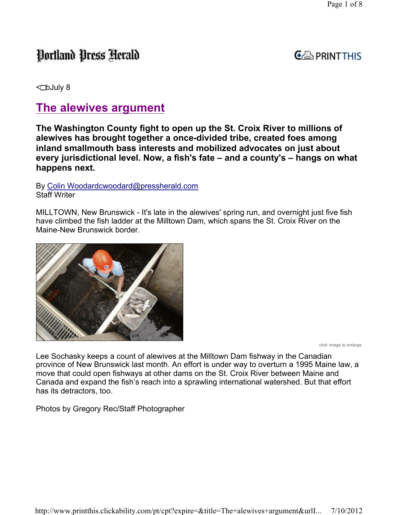# Portland Press Herald

### $G \oplus_{i}$  PRINT THIS

 $\triangleleft$ DbJuly 8

## The alewives argument

The Washington County fight to open up the St. Croix River to millions of alewives has brought together a once-divided tribe, created foes among inland smallmouth bass interests and mobilized advocates on just about every jurisdictional level. Now, a fish's fate – and a county's – hangs on what happens next.

By Colin Woodardcwoodard@pressherald.com Staff Writer

MILLTOWN, New Brunswick - It's late in the alewives' spring run, and overnight just five fish have climbed the fish ladder at the Milltown Dam, which spans the St. Croix River on the Maine-New Brunswick border.



click image to enlarge

Lee Sochasky keeps a count of alewives at the Milltown Dam fishway in the Canadian province of New Brunswick last month. An effort is under way to overturn a 1995 Maine law, a move that could open fishways at other dams on the St. Croix River between Maine and Canada and expand the fish's reach into a sprawling international watershed. But that effort has its detractors, too.

Photos by Gregory Rec/Staff Photographer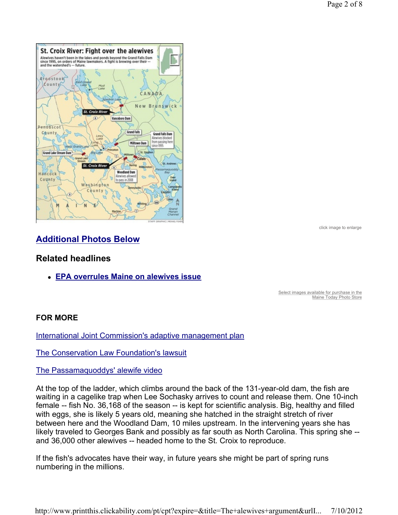

click image to enlarge

### Additional Photos Below

#### Related headlines

EPA overrules Maine on alewives issue

Select images available for purchase in the Maine Today Photo Store

#### FOR MORE

International Joint Commission's adaptive management plan

The Conservation Law Foundation's lawsuit

#### The Passamaquoddys' alewife video

At the top of the ladder, which climbs around the back of the 131-year-old dam, the fish are waiting in a cagelike trap when Lee Sochasky arrives to count and release them. One 10-inch female -- fish No. 36,168 of the season -- is kept for scientific analysis. Big, healthy and filled with eggs, she is likely 5 years old, meaning she hatched in the straight stretch of river between here and the Woodland Dam, 10 miles upstream. In the intervening years she has likely traveled to Georges Bank and possibly as far south as North Carolina. This spring she - and 36,000 other alewives -- headed home to the St. Croix to reproduce.

If the fish's advocates have their way, in future years she might be part of spring runs numbering in the millions.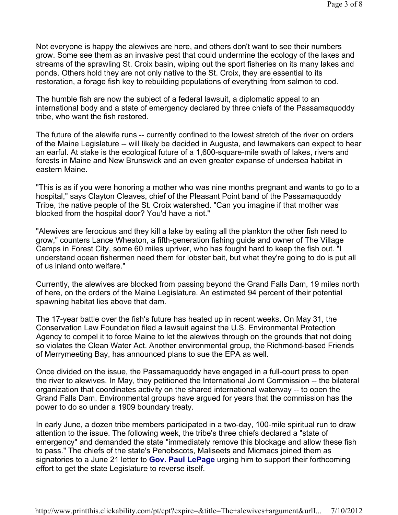Not everyone is happy the alewives are here, and others don't want to see their numbers grow. Some see them as an invasive pest that could undermine the ecology of the lakes and streams of the sprawling St. Croix basin, wiping out the sport fisheries on its many lakes and ponds. Others hold they are not only native to the St. Croix, they are essential to its restoration, a forage fish key to rebuilding populations of everything from salmon to cod.

The humble fish are now the subject of a federal lawsuit, a diplomatic appeal to an international body and a state of emergency declared by three chiefs of the Passamaquoddy tribe, who want the fish restored.

The future of the alewife runs -- currently confined to the lowest stretch of the river on orders of the Maine Legislature -- will likely be decided in Augusta, and lawmakers can expect to hear an earful. At stake is the ecological future of a 1,600-square-mile swath of lakes, rivers and forests in Maine and New Brunswick and an even greater expanse of undersea habitat in eastern Maine.

"This is as if you were honoring a mother who was nine months pregnant and wants to go to a hospital," says Clayton Cleaves, chief of the Pleasant Point band of the Passamaquoddy Tribe, the native people of the St. Croix watershed. "Can you imagine if that mother was blocked from the hospital door? You'd have a riot."

"Alewives are ferocious and they kill a lake by eating all the plankton the other fish need to grow," counters Lance Wheaton, a fifth-generation fishing guide and owner of The Village Camps in Forest City, some 60 miles upriver, who has fought hard to keep the fish out. "I understand ocean fishermen need them for lobster bait, but what they're going to do is put all of us inland onto welfare."

Currently, the alewives are blocked from passing beyond the Grand Falls Dam, 19 miles north of here, on the orders of the Maine Legislature. An estimated 94 percent of their potential spawning habitat lies above that dam.

The 17-year battle over the fish's future has heated up in recent weeks. On May 31, the Conservation Law Foundation filed a lawsuit against the U.S. Environmental Protection Agency to compel it to force Maine to let the alewives through on the grounds that not doing so violates the Clean Water Act. Another environmental group, the Richmond-based Friends of Merrymeeting Bay, has announced plans to sue the EPA as well.

Once divided on the issue, the Passamaquoddy have engaged in a full-court press to open the river to alewives. In May, they petitioned the International Joint Commission -- the bilateral organization that coordinates activity on the shared international waterway -- to open the Grand Falls Dam. Environmental groups have argued for years that the commission has the power to do so under a 1909 boundary treaty.

In early June, a dozen tribe members participated in a two-day, 100-mile spiritual run to draw attention to the issue. The following week, the tribe's three chiefs declared a "state of emergency" and demanded the state "immediately remove this blockage and allow these fish to pass." The chiefs of the state's Penobscots, Maliseets and Micmacs joined them as signatories to a June 21 letter to **Gov. Paul LePage** urging him to support their forthcoming effort to get the state Legislature to reverse itself.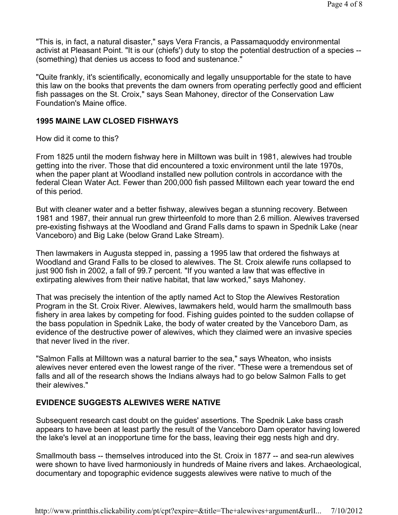"This is, in fact, a natural disaster," says Vera Francis, a Passamaquoddy environmental activist at Pleasant Point. "It is our (chiefs') duty to stop the potential destruction of a species -- (something) that denies us access to food and sustenance."

"Quite frankly, it's scientifically, economically and legally unsupportable for the state to have this law on the books that prevents the dam owners from operating perfectly good and efficient fish passages on the St. Croix," says Sean Mahoney, director of the Conservation Law Foundation's Maine office.

#### 1995 MAINE LAW CLOSED FISHWAYS

How did it come to this?

From 1825 until the modern fishway here in Milltown was built in 1981, alewives had trouble getting into the river. Those that did encountered a toxic environment until the late 1970s, when the paper plant at Woodland installed new pollution controls in accordance with the federal Clean Water Act. Fewer than 200,000 fish passed Milltown each year toward the end of this period.

But with cleaner water and a better fishway, alewives began a stunning recovery. Between 1981 and 1987, their annual run grew thirteenfold to more than 2.6 million. Alewives traversed pre-existing fishways at the Woodland and Grand Falls dams to spawn in Spednik Lake (near Vanceboro) and Big Lake (below Grand Lake Stream).

Then lawmakers in Augusta stepped in, passing a 1995 law that ordered the fishways at Woodland and Grand Falls to be closed to alewives. The St. Croix alewife runs collapsed to just 900 fish in 2002, a fall of 99.7 percent. "If you wanted a law that was effective in extirpating alewives from their native habitat, that law worked," says Mahoney.

That was precisely the intention of the aptly named Act to Stop the Alewives Restoration Program in the St. Croix River. Alewives, lawmakers held, would harm the smallmouth bass fishery in area lakes by competing for food. Fishing guides pointed to the sudden collapse of the bass population in Spednik Lake, the body of water created by the Vanceboro Dam, as evidence of the destructive power of alewives, which they claimed were an invasive species that never lived in the river.

"Salmon Falls at Milltown was a natural barrier to the sea," says Wheaton, who insists alewives never entered even the lowest range of the river. "These were a tremendous set of falls and all of the research shows the Indians always had to go below Salmon Falls to get their alewives."

#### EVIDENCE SUGGESTS ALEWIVES WERE NATIVE

Subsequent research cast doubt on the guides' assertions. The Spednik Lake bass crash appears to have been at least partly the result of the Vanceboro Dam operator having lowered the lake's level at an inopportune time for the bass, leaving their egg nests high and dry.

Smallmouth bass -- themselves introduced into the St. Croix in 1877 -- and sea-run alewives were shown to have lived harmoniously in hundreds of Maine rivers and lakes. Archaeological, documentary and topographic evidence suggests alewives were native to much of the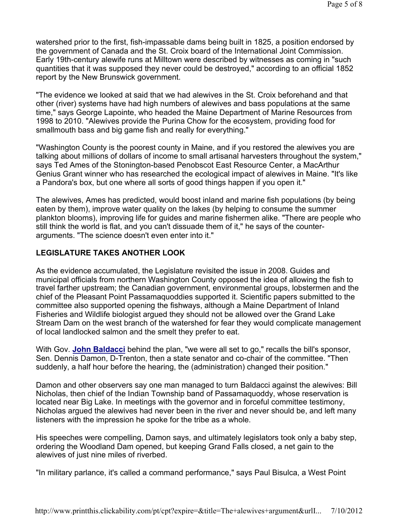watershed prior to the first, fish-impassable dams being built in 1825, a position endorsed by the government of Canada and the St. Croix board of the International Joint Commission. Early 19th-century alewife runs at Milltown were described by witnesses as coming in "such quantities that it was supposed they never could be destroyed," according to an official 1852 report by the New Brunswick government.

"The evidence we looked at said that we had alewives in the St. Croix beforehand and that other (river) systems have had high numbers of alewives and bass populations at the same time," says George Lapointe, who headed the Maine Department of Marine Resources from 1998 to 2010. "Alewives provide the Purina Chow for the ecosystem, providing food for smallmouth bass and big game fish and really for everything."

"Washington County is the poorest county in Maine, and if you restored the alewives you are talking about millions of dollars of income to small artisanal harvesters throughout the system," says Ted Ames of the Stonington-based Penobscot East Resource Center, a MacArthur Genius Grant winner who has researched the ecological impact of alewives in Maine. "It's like a Pandora's box, but one where all sorts of good things happen if you open it."

The alewives, Ames has predicted, would boost inland and marine fish populations (by being eaten by them), improve water quality on the lakes (by helping to consume the summer plankton blooms), improving life for guides and marine fishermen alike. "There are people who still think the world is flat, and you can't dissuade them of it," he says of the counterarguments. "The science doesn't even enter into it."

#### LEGISLATURE TAKES ANOTHER LOOK

As the evidence accumulated, the Legislature revisited the issue in 2008. Guides and municipal officials from northern Washington County opposed the idea of allowing the fish to travel farther upstream; the Canadian government, environmental groups, lobstermen and the chief of the Pleasant Point Passamaquoddies supported it. Scientific papers submitted to the committee also supported opening the fishways, although a Maine Department of Inland Fisheries and Wildlife biologist argued they should not be allowed over the Grand Lake Stream Dam on the west branch of the watershed for fear they would complicate management of local landlocked salmon and the smelt they prefer to eat.

With Gov. **John Baldacci** behind the plan, "we were all set to go," recalls the bill's sponsor, Sen. Dennis Damon, D-Trenton, then a state senator and co-chair of the committee. "Then suddenly, a half hour before the hearing, the (administration) changed their position."

Damon and other observers say one man managed to turn Baldacci against the alewives: Bill Nicholas, then chief of the Indian Township band of Passamaquoddy, whose reservation is located near Big Lake. In meetings with the governor and in forceful committee testimony, Nicholas argued the alewives had never been in the river and never should be, and left many listeners with the impression he spoke for the tribe as a whole.

His speeches were compelling, Damon says, and ultimately legislators took only a baby step, ordering the Woodland Dam opened, but keeping Grand Falls closed, a net gain to the alewives of just nine miles of riverbed.

"In military parlance, it's called a command performance," says Paul Bisulca, a West Point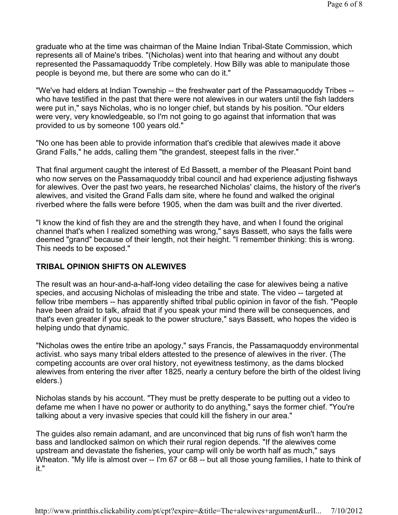graduate who at the time was chairman of the Maine Indian Tribal-State Commission, which represents all of Maine's tribes. "(Nicholas) went into that hearing and without any doubt represented the Passamaquoddy Tribe completely. How Billy was able to manipulate those people is beyond me, but there are some who can do it."

"We've had elders at Indian Township -- the freshwater part of the Passamaquoddy Tribes - who have testified in the past that there were not alewives in our waters until the fish ladders were put in," says Nicholas, who is no longer chief, but stands by his position. "Our elders were very, very knowledgeable, so I'm not going to go against that information that was provided to us by someone 100 years old."

"No one has been able to provide information that's credible that alewives made it above Grand Falls," he adds, calling them "the grandest, steepest falls in the river."

That final argument caught the interest of Ed Bassett, a member of the Pleasant Point band who now serves on the Passamaquoddy tribal council and had experience adjusting fishways for alewives. Over the past two years, he researched Nicholas' claims, the history of the river's alewives, and visited the Grand Falls dam site, where he found and walked the original riverbed where the falls were before 1905, when the dam was built and the river diverted.

"I know the kind of fish they are and the strength they have, and when I found the original channel that's when I realized something was wrong," says Bassett, who says the falls were deemed "grand" because of their length, not their height. "I remember thinking: this is wrong. This needs to be exposed."

#### TRIBAL OPINION SHIFTS ON ALEWIVES

The result was an hour-and-a-half-long video detailing the case for alewives being a native species, and accusing Nicholas of misleading the tribe and state. The video -- targeted at fellow tribe members -- has apparently shifted tribal public opinion in favor of the fish. "People have been afraid to talk, afraid that if you speak your mind there will be consequences, and that's even greater if you speak to the power structure," says Bassett, who hopes the video is helping undo that dynamic.

"Nicholas owes the entire tribe an apology," says Francis, the Passamaquoddy environmental activist. who says many tribal elders attested to the presence of alewives in the river. (The competing accounts are over oral history, not eyewitness testimony, as the dams blocked alewives from entering the river after 1825, nearly a century before the birth of the oldest living elders.)

Nicholas stands by his account. "They must be pretty desperate to be putting out a video to defame me when I have no power or authority to do anything," says the former chief. "You're talking about a very invasive species that could kill the fishery in our area."

The guides also remain adamant, and are unconvinced that big runs of fish won't harm the bass and landlocked salmon on which their rural region depends. "If the alewives come upstream and devastate the fisheries, your camp will only be worth half as much," says Wheaton. "My life is almost over -- I'm 67 or 68 -- but all those young families, I hate to think of it."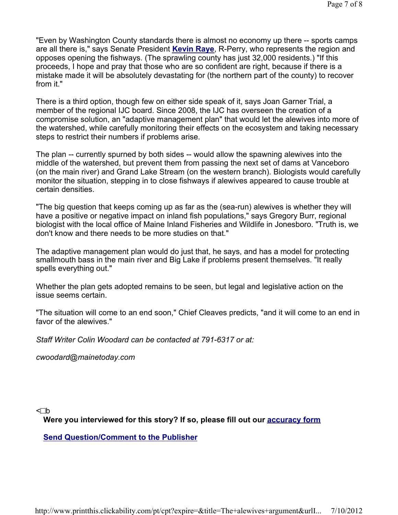"Even by Washington County standards there is almost no economy up there -- sports camps are all there is," says Senate President Kevin Raye, R-Perry, who represents the region and opposes opening the fishways. (The sprawling county has just 32,000 residents.) "If this proceeds, I hope and pray that those who are so confident are right, because if there is a mistake made it will be absolutely devastating for (the northern part of the county) to recover from it."

There is a third option, though few on either side speak of it, says Joan Garner Trial, a member of the regional IJC board. Since 2008, the IJC has overseen the creation of a compromise solution, an "adaptive management plan" that would let the alewives into more of the watershed, while carefully monitoring their effects on the ecosystem and taking necessary steps to restrict their numbers if problems arise.

The plan -- currently spurned by both sides -- would allow the spawning alewives into the middle of the watershed, but prevent them from passing the next set of dams at Vanceboro (on the main river) and Grand Lake Stream (on the western branch). Biologists would carefully monitor the situation, stepping in to close fishways if alewives appeared to cause trouble at certain densities.

"The big question that keeps coming up as far as the (sea-run) alewives is whether they will have a positive or negative impact on inland fish populations," says Gregory Burr, regional biologist with the local office of Maine Inland Fisheries and Wildlife in Jonesboro. "Truth is, we don't know and there needs to be more studies on that."

The adaptive management plan would do just that, he says, and has a model for protecting smallmouth bass in the main river and Big Lake if problems present themselves. "It really spells everything out."

Whether the plan gets adopted remains to be seen, but legal and legislative action on the issue seems certain.

"The situation will come to an end soon," Chief Cleaves predicts, "and it will come to an end in favor of the alewives."

Staff Writer Colin Woodard can be contacted at 791-6317 or at:

cwoodard@mainetoday.com

 $\lhd$ 

Were you interviewed for this story? If so, please fill out our **accuracy form** 

Send Question/Comment to the Publisher